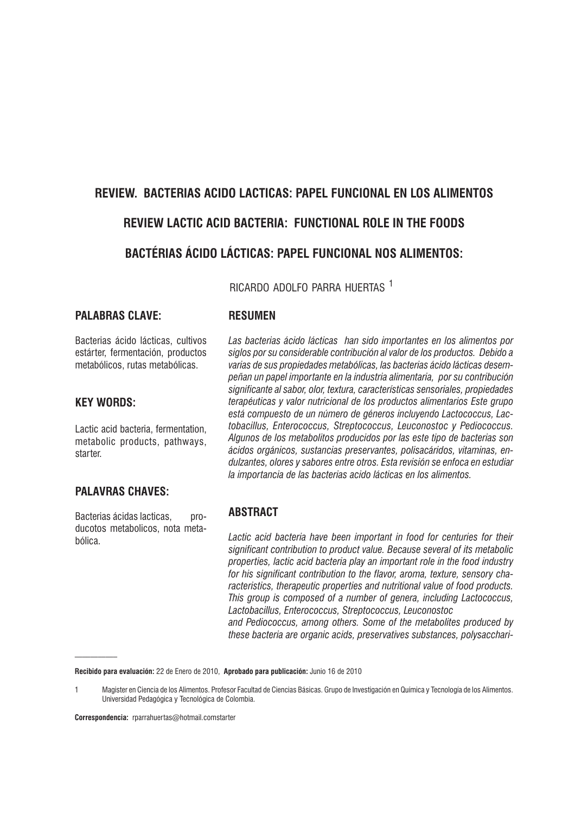# REVIEW. BACTERIAS ACIDO LACTICAS: PAPEL FUNCIONAL EN LOS ALIMENTOS **REVIEW LACTIC ACID BACTERIA: FUNCTIONAL ROLE IN THE FOODS BACTÉRIAS ÁCIDO LÁCTICAS: PAPEL FUNCIONAL NOS ALIMENTOS:**

RICARDO ADOLFO PARRA HUFRTAS<sup>1</sup>

#### **PALABRAS CLAVE:**

Bacterias ácido lácticas, cultivos estárter, fermentación, productos metabólicos, rutas metabólicas.

#### **KEY WORDS:**

Lactic acid bacteria, fermentation. metabolic products, pathways, starter

## **PALAVRAS CHAVES:**

Bacterias ácidas lacticas. producotos metabolicos, nota metahólica

#### **RESIIMEN**

Las bacterias ácido lácticas han sido importantes en los alimentos por siglos por su considerable contribución al valor de los productos. Debido a varias de sus propiedades metabólicas, las bacterias ácido lácticas desempeñan un papel importante en la industria alimentaria, por su contribución significante al sabor, olor, textura, características sensoriales, propiedades terapéuticas y valor nutricional de los productos alimentarios Este grupo está compuesto de un número de géneros incluyendo Lactococcus, Lactobacillus, Enterococcus, Streptococcus, Leuconostoc y Pediococcus. Algunos de los metabolitos producidos por las este tipo de bacterias son ácidos orgánicos, sustancias preservantes, polisacáridos, vitaminas, endulzantes, olores y sabores entre otros. Esta revisión se enfoca en estudiar la importancia de las bacterias acido lácticas en los alimentos.

#### **ABSTRACT**

Lactic acid bacteria have been important in food for centuries for their significant contribution to product value. Because several of its metabolic properties, lactic acid bacteria play an important role in the food industry for his significant contribution to the flavor, aroma, texture, sensory characteristics, therapeutic properties and nutritional value of food products. This group is composed of a number of genera, including Lactococcus, Lactobacillus, Enterococcus, Streptococcus, Leuconostoc

and Pediococcus, among others. Some of the metabolites produced by these bacteria are organic acids, preservatives substances, polysacchari-

Recibido para evaluación: 22 de Enero de 2010, Aprobado para publicación: Junio 16 de 2010

Correspondencia: rparrahuertas@hotmail.comstarter

Magister en Ciencia de los Alimentos. Profesor Facultad de Ciencias Básicas. Grupo de Investigación en Química y Tecnología de los Alimentos.  $\mathbf{1}$ Universidad Pedagógica y Tecnológica de Colombia.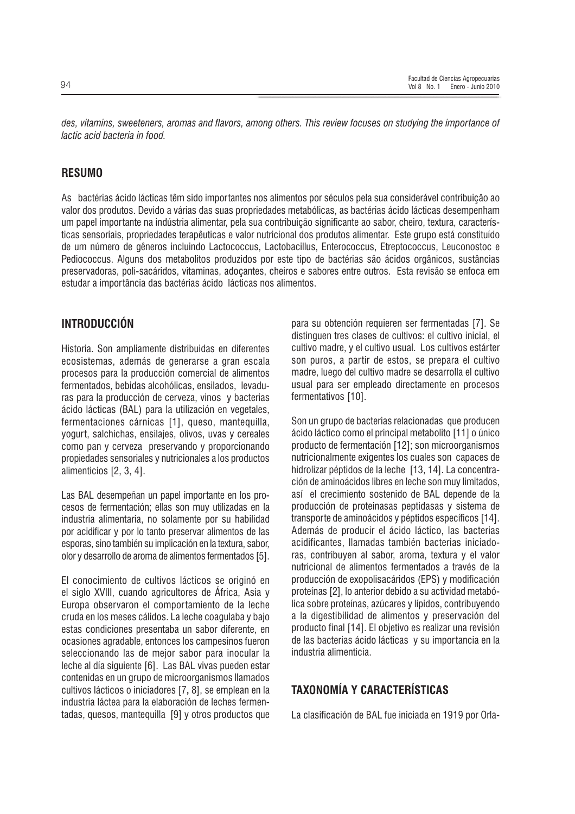des, vitamins, sweeteners, aromas and flavors, among others. This review focuses on studying the importance of lactic acid bacteria in food.

#### **RESUMO**

As bactérias ácido lácticas têm sido importantes nos alimentos por séculos pela sua considerável contribuição ao valor dos produtos. Devido a várias das suas propriedades metabólicas, as bactérias ácido lácticas desempenham um papel importante na indústria alimentar, pela sua contribuição significante ao sabor, cheiro, textura, características sensoriais, propriedades terapêuticas e valor nutricional dos produtos alimentar. Este grupo está constituído de um número de gêneros incluindo Lactococcus, Lactobacillus, Enterococcus, Etreptococcus, Leuconostoc e Pediococcus. Alguns dos metabolitos produzidos por este tipo de bactérias são ácidos orgânicos, sustâncias preservadoras, poli-sacáridos, vitaminas, adocantes, cheiros e sabores entre outros. Esta revisão se enfoca em estudar a importância das bactérias ácido lácticas nos alimentos.

## **INTRODUCCIÓN**

Historia. Son ampliamente distribuidas en diferentes ecosistemas, además de generarse a gran escala procesos para la producción comercial de alimentos fermentados, bebidas alcohólicas, ensilados, levaduras para la producción de cerveza, vinos y bacterias ácido lácticas (BAL) para la utilización en vegetales. fermentaciones cárnicas [1], queso, mantequilla, yogurt, salchichas, ensilajes, olivos, uvas y cereales como pan y cerveza preservando y proporcionando propiedades sensoriales y nutricionales a los productos alimenticios [2, 3, 4].

Las BAL desempeñan un papel importante en los procesos de fermentación; ellas son muy utilizadas en la industria alimentaria, no solamente por su habilidad por acidificar y por lo tanto preservar alimentos de las esporas, sino también su implicación en la textura, sabor, olor y desarrollo de aroma de alimentos fermentados [5].

El conocimiento de cultivos lácticos se originó en el siglo XVIII, cuando agricultores de África, Asia y Europa observaron el comportamiento de la leche cruda en los meses cálidos. La leche coagulaba y bajo estas condiciones presentaba un sabor diferente, en ocasiones agradable, entonces los campesinos fueron seleccionando las de meior sabor para inocular la leche al día siguiente [6]. Las BAL vivas pueden estar contenidas en un grupo de microorganismos llamados cultivos lácticos o iniciadores [7, 8], se emplean en la industria láctea para la elaboración de leches fermentadas, quesos, mantequilla [9] y otros productos que para su obtención requieren ser fermentadas [7]. Se distinguen tres clases de cultivos: el cultivo inicial, el cultivo madre, y el cultivo usual. Los cultivos estárter son puros, a partir de estos, se prepara el cultivo madre, luego del cultivo madre se desarrolla el cultivo usual para ser empleado directamente en procesos fermentativos [10].

Son un grupo de bacterias relacionadas que producen ácido láctico como el principal metabolito [11] o único producto de fermentación [12]; son microorganismos nutricionalmente exigentes los cuales son capaces de hidrolizar péptidos de la leche [13, 14]. La concentración de aminoácidos libres en leche son muy limitados. así el crecimiento sostenido de BAL depende de la producción de proteinasas peptidasas y sistema de transporte de aminoácidos y péptidos específicos [14]. Además de producir el ácido láctico, las bacterias acidificantes. Ilamadas también bacterias iniciadoras, contribuyen al sabor, aroma, textura y el valor nutricional de alimentos fermentados a través de la producción de exopolisacáridos (EPS) y modificación proteínas [2], lo anterior debido a su actividad metabólica sobre proteínas, azúcares y lípidos, contribuyendo a la digestibilidad de alimentos y preservación del producto final [14]. El objetivo es realizar una revisión de las bacterias ácido lácticas y su importancia en la industria alimenticia

## **TAXONOMÍA Y CARACTERÍSTICAS**

La clasificación de BAL fue iniciada en 1919 por Orla-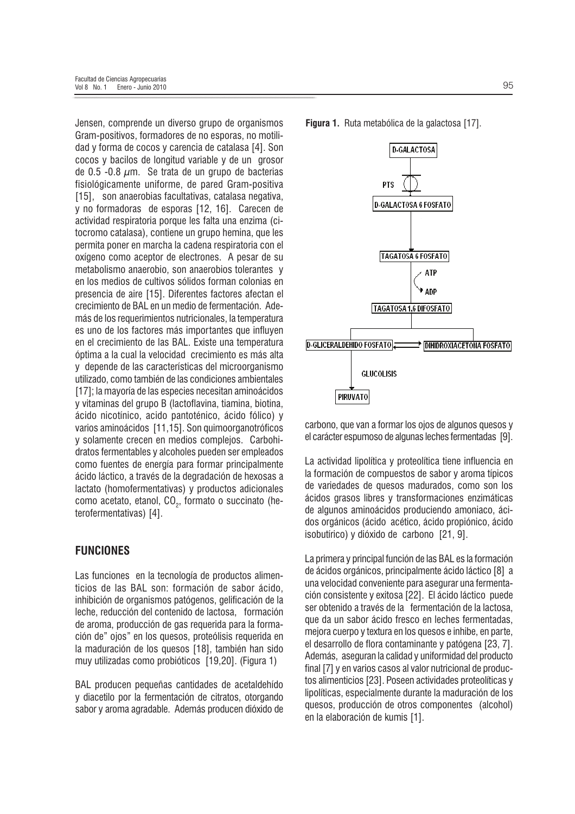Jensen, comprende un diverso grupo de organismos Gram-positivos, formadores de no esporas, no motilidad y forma de cocos y carencia de catalasa [4]. Son cocos y bacilos de longitud variable y de un grosor de 0.5 -0.8  $\mu$ m. Se trata de un grupo de bacterias fisiológicamente uniforme, de pared Gram-positiva [15], son anaerobias facultativas, catalasa negativa, v no formadoras de esporas [12, 16]. Carecen de actividad respiratoria porque les falta una enzima (citocromo catalasa), contiene un grupo hemina, que les permita poner en marcha la cadena respiratoria con el oxígeno como aceptor de electrones. A pesar de su metabolismo anaerobio, son anaerobios tolerantes y en los medios de cultivos sólidos forman colonias en presencia de aire [15]. Diferentes factores afectan el crecimiento de BAL en un medio de fermentación. Además de los requerimientos nutricionales, la temperatura es uno de los factores más importantes que influyen en el crecimiento de las BAL. Existe una temperatura óptima a la cual la velocidad crecimiento es más alta y depende de las características del microorganismo utilizado, como también de las condiciones ambientales [17]; la mayoría de las especies necesitan aminoácidos y vitaminas del grupo B (lactoflavina, tiamina, biotina, ácido nicotínico, acido pantoténico, ácido fólico) y varios aminoácidos [11,15]. Son quimoorganotróficos y solamente crecen en medios complejos. Carbohidratos fermentables y alcoholes pueden ser empleados como fuentes de energía para formar principalmente ácido láctico, a través de la degradación de hexosas a lactato (homofermentativas) y productos adicionales como acetato, etanol, CO<sub>2</sub>, formato o succinato (heterofermentativas) [4].

## **FUNCIONES**

Las funciones en la tecnología de productos alimenticios de las BAL son: formación de sabor ácido, inhibición de organismos patógenos, gelificación de la leche, reducción del contenido de lactosa, formación de aroma, producción de gas requerida para la formación de" ojos" en los quesos, proteólisis requerida en la maduración de los quesos [18], también han sido muy utilizadas como probióticos [19,20]. (Figura 1)

BAL producen pequeñas cantidades de acetaldehído y diacetilo por la fermentación de citratos, otorgando sabor y aroma agradable. Además producen dióxido de





carbono, que van a formar los ojos de algunos quesos y el carácter espumoso de algunas leches fermentadas [9].

La actividad lipolítica y proteolítica tiene influencia en la formación de compuestos de sabor y aroma típicos de variedades de quesos madurados, como son los ácidos grasos libres y transformaciones enzimáticas de algunos aminoácidos produciendo amoniaco, ácidos orgánicos (ácido acético, ácido propiónico, ácido isobutírico) y dióxido de carbono [21, 9].

La primera y principal función de las BAL es la formación de ácidos orgánicos, principalmente ácido láctico [8] a una velocidad conveniente para asegurar una fermentación consistente y exitosa [22]. El ácido láctico puede ser obtenido a través de la fermentación de la lactosa, que da un sabor ácido fresco en leches fermentadas. mejora cuerpo y textura en los quesos e inhibe, en parte. el desarrollo de flora contaminante y patógena [23, 7]. Además, aseguran la calidad y uniformidad del producto final [7] y en varios casos al valor nutricional de productos alimenticios [23]. Poseen actividades proteolíticas y lipolíticas, especialmente durante la maduración de los quesos, producción de otros componentes (alcohol) en la elaboración de kumis [1].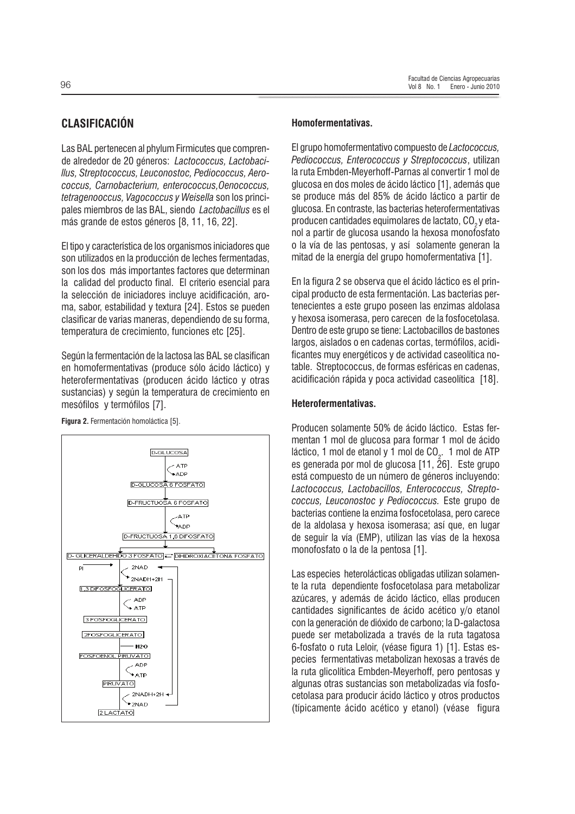## **CLASIFICACIÓN**

Las BAL pertenecen al phylum Firmicutes que comprende alrededor de 20 géneros: Lactococcus, Lactobaci-Ilus, Streptococcus, Leuconostoc, Pediococcus, Aerococcus, Carnobacterium, enterococcus, Oenococcus, tetragenooccus. Vagococcus y Weisella son los principales miembros de las BAL, siendo Lactobacillus es el más grande de estos géneros [8, 11, 16, 22].

El tipo y característica de los organismos iniciadores que son utilizados en la producción de leches fermentadas, son los dos más importantes factores que determinan la calidad del producto final. El criterio esencial para la selección de iniciadores incluye acidificación, aroma, sabor, estabilidad y textura [24]. Estos se pueden clasificar de varias maneras, dependiendo de su forma, temperatura de crecimiento, funciones etc [25].

Según la fermentación de la lactosa las BAL se clasifican en homofermentativas (produce sólo ácido láctico) y heterofermentativas (producen ácido láctico y otras sustancias) y según la temperatura de crecimiento en mesófilos y termófilos [7].



Figura 2. Fermentación homoláctica [5].

#### Homofermentativas.

El grupo homofermentativo compuesto de *Lactococcus*, Pediococcus, Enterococcus y Streptococcus, utilizan la ruta Embden-Meyerhoff-Parnas al convertir 1 mol de glucosa en dos moles de ácido láctico [1], además que se produce más del 85% de ácido láctico a partir de glucosa. En contraste, las bacterias heterofermentativas producen cantidades equimolares de lactato, CO<sub>2</sub>y etanol a partir de glucosa usando la hexosa monofosfato o la vía de las pentosas, y así solamente generan la mitad de la energía del grupo homofermentativa [1].

En la figura 2 se observa que el ácido láctico es el principal producto de esta fermentación. Las bacterias pertenecientes a este grupo poseen las enzimas aldolasa y hexosa isomerasa, pero carecen de la fosfocetolasa. Dentro de este grupo se tiene: Lactobacillos de bastones largos, aislados o en cadenas cortas, termófilos, acidificantes muy energéticos y de actividad caseolítica notable. Streptococcus, de formas esféricas en cadenas, acidificación rápida y poca actividad caseolítica [18].

#### Heterofermentativas.

Producen solamente 50% de ácido láctico. Estas fermentan 1 mol de glucosa para formar 1 mol de ácido láctico, 1 mol de etanol y 1 mol de CO<sub>2</sub>. 1 mol de ATP es generada por mol de glucosa [11, 26]. Este grupo está compuesto de un número de géneros incluyendo: Lactococcus, Lactobacillos, Enterococcus, Streptococcus, Leuconostoc y Pediococcus. Este grupo de bacterias contiene la enzima fosfocetolasa, pero carece de la aldolasa y hexosa isomerasa; así que, en lugar de seguir la vía (EMP), utilizan las vías de la hexosa monofosfato o la de la pentosa [1].

Las especies heterolácticas obligadas utilizan solamente la ruta dependiente fosfocetolasa para metabolizar azúcares, y además de ácido láctico, ellas producen cantidades significantes de ácido acético v/o etanol con la generación de dióxido de carbono; la D-galactosa puede ser metabolizada a través de la ruta tagatosa 6-fosfato o ruta Leloir, (véase figura 1) [1]. Estas especies fermentativas metabolizan hexosas a través de la ruta glicolítica Embden-Meyerhoff, pero pentosas y algunas otras sustancias son metabolizadas vía fosfocetolasa para producir ácido láctico y otros productos (típicamente ácido acético y etanol) (véase figura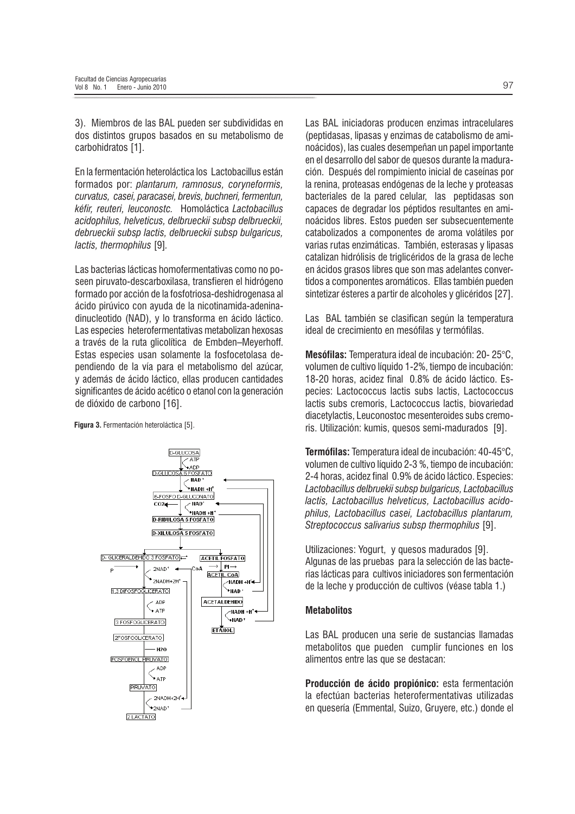3). Miembros de las BAL pueden ser subdivididas en dos distintos grupos basados en su metabolismo de carbohidratos [1].

En la fermentación heteroláctica los Lactobacillus están formados por: plantarum, ramnosus, coryneformis, curvatus, casei, paracasei, brevis, buchneri, fermentun, kéfir, reuteri, leuconostc. Homoláctica Lactobacillus acidophilus, helveticus, delbrueckii subsp delbrueckii, debrueckij subsp lactis, delbrueckij subsp bulgaricus. lactis, thermophilus [9].

Las bacterias lácticas homofermentativas como no poseen piruvato-descarboxilasa, transfieren el hidrógeno formado por acción de la fosfotriosa-deshidrogenasa al ácido pirúvico con ayuda de la nicotinamida-adeninadinucleotido (NAD), y lo transforma en ácido láctico. Las especies heterofermentativas metabolizan hexosas a través de la ruta glicolítica de Embden-Meyerhoff. Estas especies usan solamente la fosfocetolasa dependiendo de la vía para el metabolismo del azúcar, y además de ácido láctico, ellas producen cantidades significantes de ácido acético o etanol con la generación de dióxido de carbono [16].

Figura 3. Fermentación heteroláctica [5].



Las BAL iniciadoras producen enzimas intracelulares (peptidasas, lipasas y enzimas de catabolismo de aminoácidos), las cuales desempeñan un papel importante en el desarrollo del sabor de quesos durante la maduración. Después del rompimiento inicial de caseínas por la renina, proteasas endógenas de la leche y proteasas bacteriales de la pared celular, las peptidasas son capaces de degradar los péptidos resultantes en aminoácidos libres. Estos pueden ser subsecuentemente catabolizados a componentes de aroma volátiles por varias rutas enzimáticas. También, esterasas y lipasas catalizan hidrólisis de triglicéridos de la grasa de leche en ácidos grasos libres que son mas adelantes convertidos a componentes aromáticos. Ellas también pueden sintetizar ésteres a partir de alcoholes y glicéridos [27].

Las BAL también se clasifican según la temperatura ideal de crecimiento en mesófilas y termófilas.

Mesófilas: Temperatura ideal de incubación: 20-25°C. volumen de cultivo líquido 1-2%, tiempo de incubación: 18-20 horas, acidez final 0.8% de ácido láctico. Especies: Lactococcus lactis subs lactis. Lactococcus lactis subs cremoris, Lactococcus lactis, biovariedad diacetylactis, Leuconostoc mesenteroides subs cremoris. Utilización: kumis, quesos semi-madurados [9].

Termófilas: Temperatura ideal de incubación: 40-45°C. volumen de cultivo líquido 2-3 %, tiempo de incubación: 2-4 horas, acidez final 0.9% de ácido láctico. Especies: Lactobacillus delbruekii subsp bulgaricus. Lactobacillus lactis, Lactobacillus helveticus, Lactobacillus acidophilus, Lactobacillus casei, Lactobacillus plantarum, Streptococcus salivarius subsp thermophilus [9].

Utilizaciones: Yogurt, y quesos madurados [9]. Algunas de las pruebas para la selección de las bacterias lácticas para cultivos iniciadores son fermentación de la leche y producción de cultivos (véase tabla 1.)

#### **Metabolitos**

Las BAL producen una serie de sustancias llamadas metabolitos que pueden cumplir funciones en los alimentos entre las que se destacan:

Producción de ácido propiónico: esta fermentación la efectúan bacterias heterofermentativas utilizadas en quesería (Emmental, Suizo, Gruyere, etc.) donde el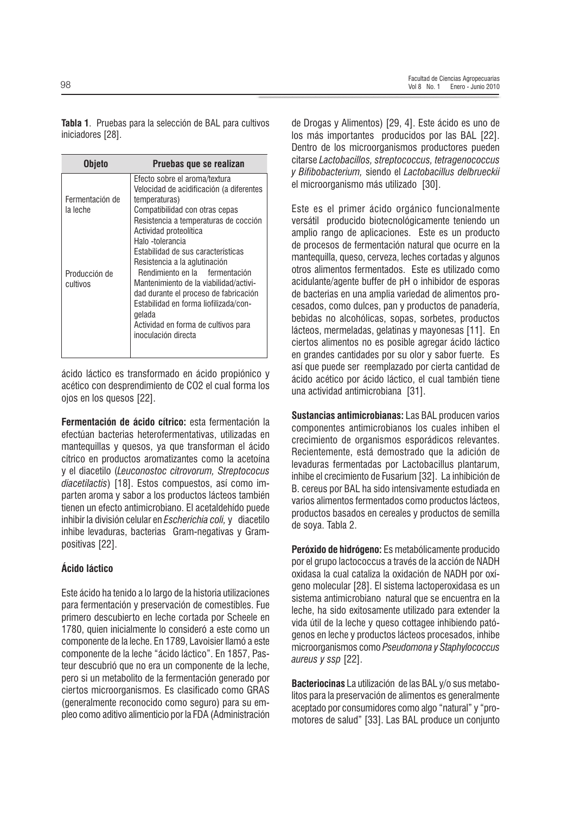Tabla 1. Pruebas para la selección de BAL para cultivos iniciadores [28].

| Objeto                      | Pruebas que se realizan                                                                                                                                                                                                                                                                                   |
|-----------------------------|-----------------------------------------------------------------------------------------------------------------------------------------------------------------------------------------------------------------------------------------------------------------------------------------------------------|
| Fermentación de<br>la leche | Efecto sobre el aroma/textura<br>Velocidad de acidificación (a diferentes<br>temperaturas)<br>Compatibilidad con otras cepas<br>Resistencia a temperaturas de cocción<br>Actividad proteolítica<br>Halo -tolerancia                                                                                       |
| Producción de<br>cultivos   | Estabilidad de sus características<br>Resistencia a la aglutinación<br>Rendimiento en la fermentación<br>Mantenimiento de la viabilidad/activi-<br>dad durante el proceso de fabricación<br>Estabilidad en forma liofilizada/con-<br>gelada<br>Actividad en forma de cultivos para<br>inoculación directa |

ácido láctico es transformado en ácido propiónico y acético con desprendimiento de CO2 el cual forma los oios en los quesos [22].

Fermentación de ácido cítrico: esta fermentación la efectúan bacterias heterofermentativas, utilizadas en mantequillas y quesos, ya que transforman el ácido cítrico en productos aromatizantes como la acetoína y el diacetilo (Leuconostoc citrovorum, Streptococus diacetilactis) [18]. Estos compuestos, así como imparten aroma y sabor a los productos lácteos también tienen un efecto antimicrobiano. El acetaldehído puede inhibir la división celular en Escherichia coli, y diacetilo inhibe levaduras, bacterias Gram-negativas y Grampositivas [22].

#### Ácido láctico

Este ácido ha tenido a lo largo de la historia utilizaciones para fermentación y preservación de comestibles. Fue primero descubierto en leche cortada por Scheele en 1780, quien inicialmente lo consideró a este como un componente de la leche. En 1789, Lavoisier llamó a este componente de la leche "ácido láctico". En 1857, Pasteur descubrió que no era un componente de la leche, pero si un metabolito de la fermentación generado por ciertos microorganismos. Es clasificado como GRAS (generalmente reconocido como seguro) para su empleo como aditivo alimenticio por la FDA (Administración de Drogas y Alimentos) [29, 4]. Este ácido es uno de los más importantes producidos por las BAL [22]. Dentro de los microorganismos productores pueden citarse Lactobacillos, streptococcus, tetragenococcus y Bifibobacterium, siendo el Lactobacillus delbrueckii el microorganismo más utilizado [30].

Este es el primer ácido orgánico funcionalmente versátil producido biotecnológicamente teniendo un amplio rango de aplicaciones. Este es un producto de procesos de fermentación natural que ocurre en la mantequilla, queso, cerveza, leches cortadas y algunos otros alimentos fermentados. Este es utilizado como acidulante/agente buffer de pH o inhibidor de esporas de bacterias en una amplia variedad de alimentos procesados, como dulces, pan y productos de panadería, bebidas no alcohólicas, sopas, sorbetes, productos lácteos, mermeladas, gelatinas y mayonesas [11]. En ciertos alimentos no es posible agregar ácido láctico en grandes cantidades por su olor y sabor fuerte. Es así que puede ser reemplazado por cierta cantidad de ácido acético por ácido láctico, el cual también tiene una actividad antimicrobiana [31].

Sustancias antimicrobianas: Las BAL producen varios componentes antimicrobianos los cuales inhiben el crecimiento de organismos esporádicos relevantes. Recientemente, está demostrado que la adición de levaduras fermentadas por Lactobacillus plantarum. inhibe el crecimiento de Fusarium [32]. La inhibición de B. cereus por BAL ha sido intensivamente estudiada en varios alimentos fermentados como productos lácteos, productos basados en cereales y productos de semilla de soya. Tabla 2.

Peróxido de hidrógeno: Es metabólicamente producido por el grupo lactococcus a través de la acción de NADH oxidasa la cual cataliza la oxidación de NADH por oxígeno molecular [28]. El sistema lactoperoxidasa es un sistema antimicrobiano natural que se encuentra en la leche, ha sido exitosamente utilizado para extender la vida útil de la leche y queso cottagee inhibiendo patógenos en leche y productos lácteos procesados, inhibe microorganismos como Pseudomona y Staphylococcus aureus y ssp [22].

**Bacteriocinas** La utilización de las BAL v/o sus metabolitos para la preservación de alimentos es generalmente aceptado por consumidores como algo "natural" y "promotores de salud" [33]. Las BAL produce un conjunto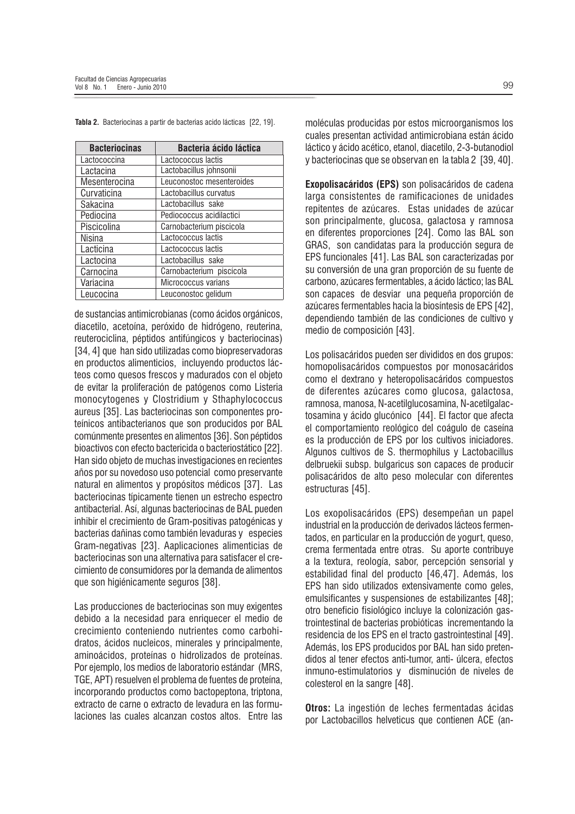| <b>Bacteriocinas</b> | <b>Bacteria ácido láctica</b> |
|----------------------|-------------------------------|
| Lactococcina         | Lactococcus lactis            |
| Lactacina            | Lactobacillus johnsonii       |
| Mesenterocina        | Leuconostoc mesenteroides     |
| Curvaticina          | Lactobacillus curvatus        |
| Sakacina             | Lactobacillus sake            |
| Pediocina            | Pediococcus acidilactici      |
| Piscicolina          | Carnobacterium piscicola      |
| Nisina               | Lactococcus lactis            |
| Lacticina            | Lactococcus lactis            |
| Lactocina            | Lactobacillus sake            |
| Carnocina            | Carnobacterium piscícola      |
| Variacina            | Micrococcus varians           |
| Leucocina            | Leuconostoc gelidum           |

Tabla 2. Bacteriocinas a partir de bacterias acido lácticas [22, 19].

de sustancias antimicrobianas (como ácidos orgánicos, diacetilo, acetoína, peróxido de hidrógeno, reuterina, reuterociclina, péptidos antifúngicos y bacteriocinas) [34, 4] que han sido utilizadas como biopreservadoras en productos alimenticios, incluyendo productos lácteos como quesos frescos y madurados con el objeto de evitar la proliferación de patógenos como Listeria monocytogenes y Clostridium y Sthaphylococcus aureus [35]. Las bacteriocinas son componentes proteínicos antibacterianos que son producidos por BAL comúnmente presentes en alimentos [36]. Son péptidos bioactivos con efecto bactericida o bacteriostático [22]. Han sido objeto de muchas investigaciones en recientes años por su novedoso uso potencial como preservante natural en alimentos y propósitos médicos [37]. Las bacteriocinas típicamente tienen un estrecho espectro antibacterial. Así, algunas bacteriocinas de BAL pueden inhibir el crecimiento de Gram-positivas patogénicas y bacterias dañinas como también levaduras y especies Gram-negativas [23]. Aaplicaciones alimenticias de bacteriocinas son una alternativa para satisfacer el crecimiento de consumidores por la demanda de alimentos que son higiénicamente seguros [38].

Las producciones de bacteriocinas son muy exigentes debido a la necesidad para enriquecer el medio de crecimiento conteniendo nutrientes como carbohidratos, ácidos nucleicos, minerales y principalmente, aminoácidos, proteínas o hidrolizados de proteínas. Por ejemplo, los medios de laboratorio estándar (MRS, TGE, APT) resuelven el problema de fuentes de proteína, incorporando productos como bactopeptona, triptona, extracto de carne o extracto de levadura en las formulaciones las cuales alcanzan costos altos. Entre las moléculas producidas por estos microorganismos los cuales presentan actividad antimicrobiana están ácido láctico y ácido acético, etanol, diacetilo, 2-3-butanodiol y bacteriocinas que se observan en la tabla 2 [39, 40].

Exopolisacáridos (EPS) son polisacáridos de cadena larga consistentes de ramificaciones de unidades repitentes de azúcares. Estas unidades de azúcar son principalmente, glucosa, galactosa y ramnosa en diferentes proporciones [24]. Como las BAL son GRAS, son candidatas para la producción segura de EPS funcionales [41]. Las BAL son caracterizadas por su conversión de una gran proporción de su fuente de carbono, azúcares fermentables, a ácido láctico; las BAL son capaces de desviar una pequeña proporción de azúcares fermentables hacia la biosíntesis de EPS [42]. dependiendo también de las condiciones de cultivo y medio de composición [43].

Los polisacáridos pueden ser divididos en dos grupos: homopolisacáridos compuestos por monosacáridos como el dextrano y heteropolisacáridos compuestos de diferentes azúcares como glucosa, galactosa, ramnosa, manosa, N-acetilglucosamina, N-acetilgalactosamina y ácido glucónico [44]. El factor que afecta el comportamiento reológico del coágulo de caseína es la producción de EPS por los cultivos iniciadores. Algunos cultivos de S. thermophilus y Lactobacillus delbruekii subsp. bulgaricus son capaces de producir polisacáridos de alto peso molecular con diferentes estructuras [45].

Los exopolisacáridos (EPS) desempeñan un papel industrial en la producción de derivados lácteos fermentados, en particular en la producción de vogurt, queso, crema fermentada entre otras. Su aporte contribuve a la textura, reología, sabor, percepción sensorial y estabilidad final del producto [46,47]. Además, los EPS han sido utilizados extensivamente como geles, emulsificantes y suspensiones de estabilizantes [48]: otro beneficio fisiológico incluve la colonización gastrointestinal de bacterias probióticas incrementando la residencia de los EPS en el tracto gastrointestinal [49]. Además, los EPS producidos por BAL han sido pretendidos al tener efectos anti-tumor, anti- úlcera, efectos inmuno-estimulatorios y disminución de niveles de colesterol en la sangre [48].

Otros: La ingestión de leches fermentadas ácidas por Lactobacillos helveticus que contienen ACE (an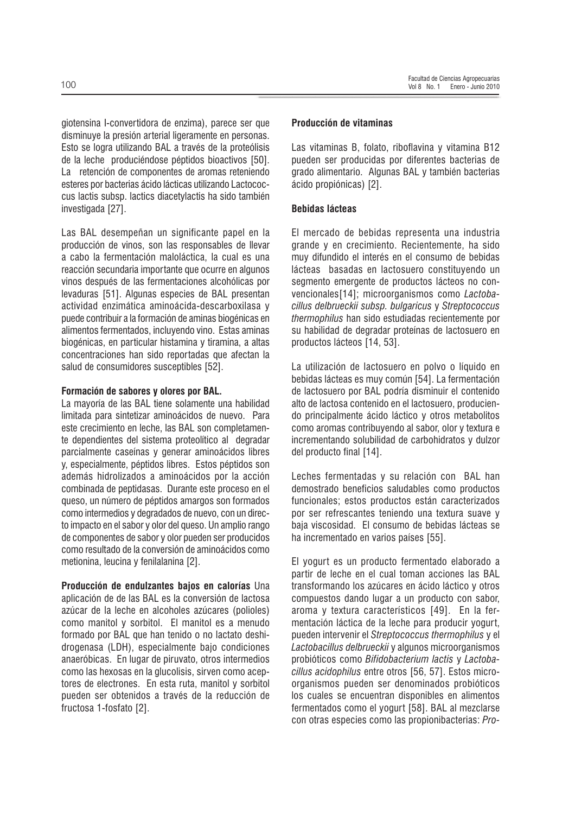giotensina I-convertidora de enzima), parece ser que disminuve la presión arterial ligeramente en personas. Esto se logra utilizando BAL a través de la proteólisis de la leche produciéndose péptidos bioactivos [50]. La retención de componentes de aromas reteniendo esteres por bacterias ácido lácticas utilizando Lactococcus lactis subsp. lactics diacetylactis ha sido también investigada [27].

Las BAL desempeñan un significante papel en la producción de vinos, son las responsables de llevar a cabo la fermentación maloláctica, la cual es una reacción secundaria importante que ocurre en algunos vinos después de las fermentaciones alcohólicas por levaduras [51]. Algunas especies de BAL presentan actividad enzimática aminoácida-descarboxilasa y puede contribuir a la formación de aminas biogénicas en alimentos fermentados, incluyendo vino. Estas aminas biogénicas, en particular histamina y tiramina, a altas concentraciones han sido reportadas que afectan la salud de consumidores susceptibles [52].

#### Formación de sabores y olores por BAL.

La mayoría de las BAL tiene solamente una habilidad limitada para sintetizar aminoácidos de nuevo. Para este crecimiento en leche, las BAL son completamente dependientes del sistema proteolítico al degradar parcialmente caseínas y generar aminoácidos libres v. especialmente, péptidos libres. Estos péptidos son además hidrolizados a aminoácidos por la acción combinada de peptidasas. Durante este proceso en el queso, un número de péptidos amargos son formados como intermedios y degradados de nuevo, con un directo impacto en el sabor y olor del queso. Un amplio rango de componentes de sabor y olor pueden ser producidos como resultado de la conversión de aminoácidos como metionina, leucina y fenilalanina [2].

Producción de endulzantes bajos en calorías Una aplicación de de las BAL es la conversión de lactosa azúcar de la leche en alcoholes azúcares (polioles) como manitol y sorbitol. El manitol es a menudo formado por BAL que han tenido o no lactato deshidrogenasa (LDH), especialmente bajo condiciones anaeróbicas. En lugar de piruvato, otros intermedios como las hexosas en la glucolisis, sirven como aceptores de electrones. En esta ruta, manitol y sorbitol pueden ser obtenidos a través de la reducción de fructosa 1-fosfato [2].

#### Producción de vitaminas

Las vitaminas B, folato, riboflavina y vitamina B12 pueden ser producidas por diferentes bacterias de grado alimentario. Algunas BAL y también bacterias ácido propiónicas) [2].

#### **Bebidas lácteas**

El mercado de bebidas representa una industria grande y en crecimiento. Recientemente, ha sido muy difundido el interés en el consumo de bebidas lácteas basadas en lactosuero constituyendo un segmento emergente de productos lácteos no convencionales[14]; microorganismos como Lactobacillus delbrueckii subsp. bulgaricus y Streptococcus *thermophilus* han sido estudiadas recientemente por su habilidad de degradar proteínas de lactosuero en productos lácteos [14, 53].

La utilización de lactosuero en polvo o líquido en bebidas lácteas es muy común [54]. La fermentación de lactosuero por BAL podría disminuir el contenido alto de lactosa contenido en el lactosuero, produciendo principalmente ácido láctico y otros metabolitos como aromas contribuyendo al sabor, olor y textura e incrementando solubilidad de carbohidratos y dulzor del producto final [14].

Leches fermentadas y su relación con BAL han demostrado beneficios saludables como productos funcionales; estos productos están caracterizados por ser refrescantes teniendo una textura suave y baja viscosidad. El consumo de bebidas lácteas se ha incrementado en varios países [55].

El vogurt es un producto fermentado elaborado a partir de leche en el cual toman acciones las BAL transformando los azúcares en ácido láctico y otros compuestos dando lugar a un producto con sabor. aroma y textura característicos [49]. En la fermentación láctica de la leche para producir yogurt, pueden intervenir el Streptococcus thermophilus y el Lactobacillus delbrueckii y algunos microorganismos probióticos como Bifidobacterium lactis y Lactobacillus acidophilus entre otros [56, 57]. Estos microorganismos pueden ser denominados probióticos los cuales se encuentran disponibles en alimentos fermentados como el yogurt [58]. BAL al mezclarse con otras especies como las propionibacterias: Pro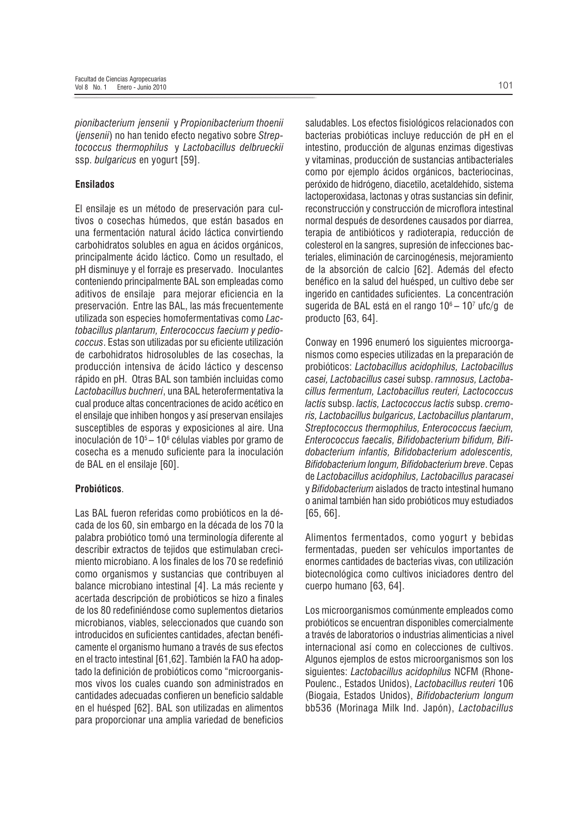pionibacterium jensenii y Propionibacterium thoenii (jensenii) no han tenido efecto negativo sobre Streptococcus thermophilus y Lactobacillus delbrueckii ssp. bulgaricus en yogurt [59].

#### **Ensilados**

El ensilaje es un método de preservación para cultivos o cosechas húmedos, que están basados en una fermentación natural ácido láctica convirtiendo carbohidratos solubles en agua en ácidos orgánicos, principalmente ácido láctico. Como un resultado, el pH disminuye y el forraje es preservado. Inoculantes conteniendo principalmente BAL son empleadas como aditivos de ensilaje para mejorar eficiencia en la preservación. Entre las BAL, las más frecuentemente utilizada son especies homofermentativas como Lactobacillus plantarum, Enterococcus faecium y pediococcus. Estas son utilizadas por su eficiente utilización de carbohidratos hidrosolubles de las cosechas. la producción intensiva de ácido láctico y descenso rápido en pH. Otras BAL son también incluidas como Lactobacillus buchneri, una BAL heterofermentativa la cual produce altas concentraciones de acido acético en el ensilaje que inhiben hongos y así preservan ensilajes susceptibles de esporas y exposiciones al aire. Una inoculación de 10<sup>5</sup> – 10<sup>6</sup> células viables por gramo de cosecha es a menudo suficiente para la inoculación de BAL en el ensilaje [60].

#### Probióticos.

Las BAL fueron referidas como probióticos en la década de los 60, sin embargo en la década de los 70 la palabra probiótico tomó una terminología diferente al describir extractos de teiidos que estimulaban crecimiento microbiano. A los finales de los 70 se redefinió como organismos y sustancias que contribuyen al balance microbiano intestinal [4]. La más reciente y acertada descripción de probióticos se hizo a finales de los 80 redefiniéndose como suplementos dietarios microbianos, viables, seleccionados que cuando son introducidos en suficientes cantidades, afectan benéficamente el organismo humano a través de sus efectos en el tracto intestinal [61,62]. También la FAO ha adoptado la definición de probióticos como "microorganismos vivos los cuales cuando son administrados en cantidades adecuadas confieren un beneficio saldable en el huésped [62]. BAL son utilizadas en alimentos para proporcionar una amplia variedad de beneficios saludables. Los efectos fisiológicos relacionados con bacterias probióticas incluve reducción de pH en el intestino, producción de algunas enzimas digestivas y vitaminas, producción de sustancias antibacteriales como por ejemplo ácidos orgánicos, bacteriocinas, peróxido de hidrógeno, diacetilo, acetaldehído, sistema lactoperoxidasa, lactonas y otras sustancias sin definir, reconstrucción y construcción de microflora intestinal normal después de desordenes causados por diarrea, terapia de antibióticos y radioterapia, reducción de colesterol en la sangres, supresión de infecciones bacteriales, eliminación de carcinogénesis, mejoramiento de la absorción de calcio [62]. Además del efecto benéfico en la salud del huésped, un cultivo debe ser ingerido en cantidades suficientes. La concentración sugerida de BAL está en el rango 10<sup>6</sup> - 10<sup>7</sup> ufc/g de producto [63, 64].

Conway en 1996 enumeró los siguientes microorganismos como especies utilizadas en la preparación de probióticos: Lactobacillus acidophilus, Lactobacillus casei, Lactobacillus casei subsp. ramnosus, Lactobacillus fermentum, Lactobacillus reuteri, Lactococcus lactis subsp. lactis, Lactococcus lactis subsp. cremoris, Lactobacillus bulgaricus, Lactobacillus plantarum, Streptococcus thermophilus, Enterococcus faecium, Enterococcus faecalis. Bifidobacterium bifidum. Bifidobacterium infantis, Bifidobacterium adolescentis, Bifidobacterium Iongum, Bifidobacterium breve, Cepas de Lactobacillus acidophilus, Lactobacillus paracasei y *Bifidobacterium* aislados de tracto intestinal humano o animal también han sido probióticos muy estudiados  $[65, 66]$ .

Alimentos fermentados, como yogurt y bebidas fermentadas, pueden ser vehículos importantes de enormes cantidades de bacterias vivas, con utilización biotecnológica como cultivos iniciadores dentro del cuerpo humano [63, 64].

Los microorganismos comúnmente empleados como probióticos se encuentran disponibles comercialmente a través de laboratorios o industrias alimenticias a nivel internacional así como en colecciones de cultivos. Algunos ejemplos de estos microorganismos son los siguientes: Lactobacillus acidophilus NCFM (Rhone-Poulenc., Estados Unidos). Lactobacillus reuteri 106 (Biogaia, Estados Unidos), Bifidobacterium Iongum bb536 (Morinaga Milk Ind. Japón), Lactobacillus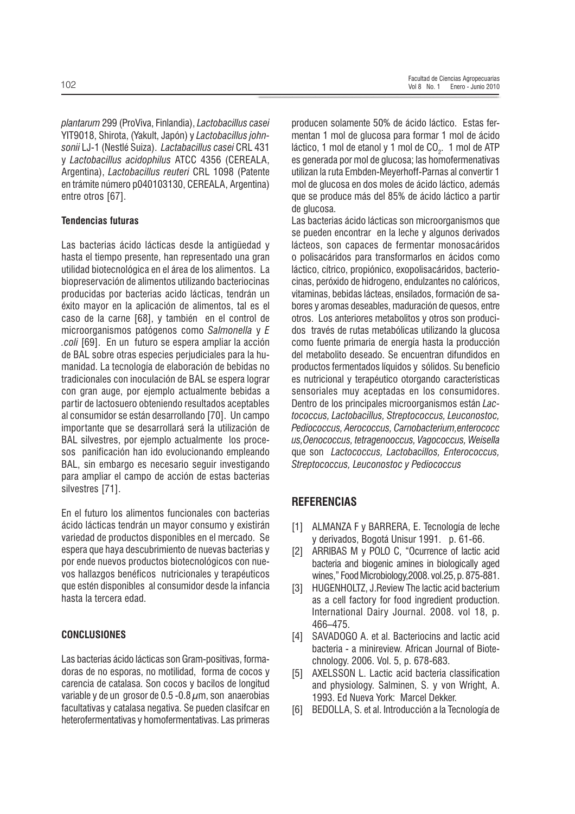plantarum 299 (ProViva, Finlandia), Lactobacillus casei YIT9018, Shirota, (Yakult, Japón) y Lactobacillus johnsonii LJ-1 (Nestlé Suiza). Lactabacillus casei CRL 431 y Lactobacillus acidophilus ATCC 4356 (CEREALA, Argentina), Lactobacillus reuteri CRL 1098 (Patente en trámite número p040103130, CEREALA, Argentina) entre otros [67].

#### **Tendencias futuras**

Las bacterias ácido lácticas desde la antigüedad y hasta el tiempo presente, han representado una gran utilidad biotecnológica en el área de los alimentos. La biopreservación de alimentos utilizando bacteriocinas producidas por bacterias acido lácticas, tendrán un éxito mayor en la aplicación de alimentos, tal es el caso de la carne [68], y también en el control de microorganismos patógenos como Salmonella y E .coli [69]. En un futuro se espera ampliar la acción de BAL sobre otras especies periudiciales para la humanidad. La tecnología de elaboración de bebidas no tradicionales con inoculación de BAL se espera lograr con gran auge, por ejemplo actualmente bebidas a partir de lactosuero obteniendo resultados aceptables al consumidor se están desarrollando [70]. Un campo importante que se desarrollará será la utilización de BAL silvestres, por ejemplo actualmente los procesos panificación han ido evolucionando empleando BAL, sin embargo es necesario seguir investigando para ampliar el campo de acción de estas bacterias silvestres [71].

En el futuro los alimentos funcionales con bacterias ácido lácticas tendrán un mayor consumo y existirán variedad de productos disponibles en el mercado. Se espera que hava descubrimiento de nuevas bacterias y por ende nuevos productos biotecnológicos con nuevos hallazgos benéficos nutricionales y terapéuticos que estén disponibles al consumidor desde la infancia hasta la tercera edad.

#### **CONCLUSIONES**

Las bacterias ácido lácticas son Gram-positivas, formadoras de no esporas, no motilidad, forma de cocos y carencia de catalasa. Son cocos y bacilos de longitud variable y de un grosor de  $0.5 - 0.8 \mu m$ , son anaerobias facultativas y catalasa negativa. Se pueden clasifcar en heterofermentativas y homofermentativas. Las primeras

producen solamente 50% de ácido láctico. Estas fermentan 1 mol de glucosa para formar 1 mol de ácido láctico, 1 mol de etanol y 1 mol de CO<sub>2</sub>. 1 mol de ATP es generada por mol de glucosa; las homofermenativas utilizan la ruta Embden-Meyerhoff-Parnas al convertir 1 mol de glucosa en dos moles de ácido láctico, además que se produce más del 85% de ácido láctico a partir de alucosa.

Las bacterias ácido lácticas son microorganismos que se pueden encontrar en la leche y algunos derivados lácteos, son capaces de fermentar monosacáridos o polisacáridos para transformarlos en ácidos como láctico, cítrico, propiónico, exopolisacáridos, bacteriocinas, peróxido de hidrogeno, endulzantes no calóricos, vitaminas, bebidas lácteas, ensilados, formación de sabores y aromas deseables, maduración de quesos, entre otros. Los anteriores metabolitos y otros son producidos través de rutas metabólicas utilizando la glucosa como fuente primaria de energía hasta la producción del metabolito deseado. Se encuentran difundidos en productos fermentados líquidos y sólidos. Su beneficio es nutricional y terapéutico otorgando características sensoriales muy aceptadas en los consumidores. Dentro de los principales microorganismos están Lactococcus, Lactobacillus, Streptococcus, Leuconostoc, Pediococcus, Aerococcus, Carnobacterium, enterococc us, Oenococcus, tetragenooccus, Vagococcus, Weisella que son Lactococcus, Lactobacillos, Enterococcus, Streptococcus, Leuconostoc y Pediococcus

## **REFERENCIAS**

- [1] ALMANZA F y BARRERA, E. Tecnología de leche y derivados, Bogotá Unisur 1991. p. 61-66.
- ARRIBAS M y POLO C, "Ocurrence of lactic acid  $\lceil 2 \rceil$ bacteria and biogenic amines in biologically aged wines," Food Microbiology, 2008. vol. 25, p. 875-881.
- HUGENHOLTZ, J.Review The lactic acid bacterium [3] as a cell factory for food ingredient production. International Dairy Journal. 2008. vol 18, p. 466-475.
- [4] SAVADOGO A. et al. Bacteriocins and lactic acid bacteria - a minireview. African Journal of Biotechnology. 2006. Vol. 5, p. 678-683.
- AXELSSON L. Lactic acid bacteria classification [5] and physiology. Salminen, S. y von Wright, A. 1993. Ed Nueva York: Marcel Dekker.
- [6] BEDOLLA, S. et al. Introducción a la Tecnología de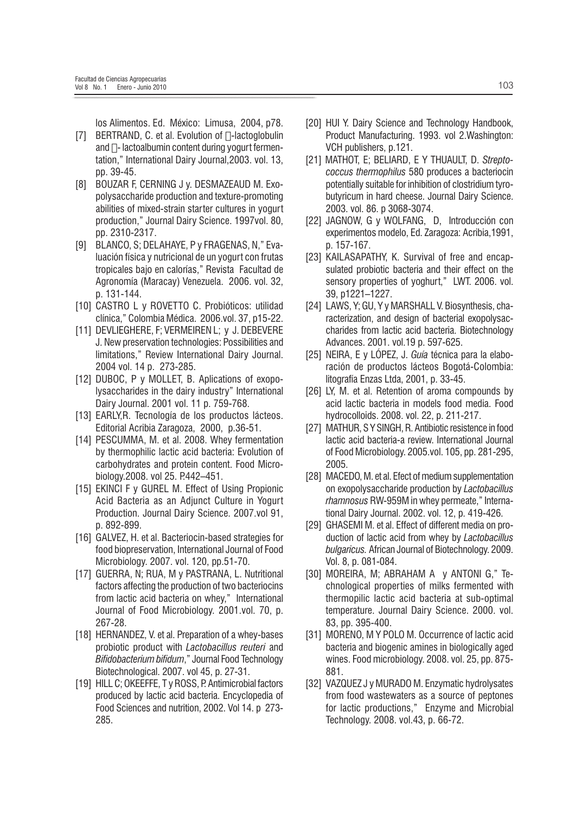los Alimentos. Ed. México: Limusa, 2004, p78.

- [7] BERTRAND, C. et al. Evolution of □-lactoglobulin and  $\Box$ - lactoalbumin content during yogurt fermentation," International Dairy Journal, 2003. vol. 13, pp. 39-45.
- [8] BOUZAR F, CERNING J y. DESMAZEAUD M. Exopolysaccharide production and texture-promoting abilities of mixed-strain starter cultures in yogurt production," Journal Dairy Science. 1997vol. 80, pp. 2310-2317.
- [9] BLANCO, S; DELAHAYE, P y FRAGENAS, N," Evaluación física y nutricional de un yogurt con frutas tropicales bajo en calorías," Revista Facultad de Agronomía (Maracay) Venezuela. 2006. vol. 32, p. 131-144.
- [10] CASTRO L y ROVETTO C. Probióticos: utilidad clínica," Colombia Médica. 2006.vol. 37, p15-22.
- [11] DEVLIEGHERE, F; VERMEIREN L; y J. DEBEVERE J. New preservation technologies: Possibilities and limitations." Review International Dairy Journal. 2004 vol. 14 p. 273-285.
- [12] DUBOC, P y MOLLET, B. Aplications of exopolysaccharides in the dairy industry" International Dairy Journal. 2001 vol. 11 p. 759-768.
- [13] EARLY, R. Tecnología de los productos lácteos. Editorial Acribia Zaragoza, 2000, p.36-51.
- [14] PESCUMMA, M. et al. 2008. Whey fermentation by thermophilic lactic acid bacteria: Evolution of carbohydrates and protein content. Food Microbiology.2008. vol 25. P.442-451.
- [15] EKINCI F y GUREL M. Effect of Using Propionic Acid Bacteria as an Adjunct Culture in Yogurt Production. Journal Dairy Science. 2007.vol 91. p. 892-899.
- [16] GALVEZ, H. et al. Bacteriocin-based strategies for food biopreservation. International Journal of Food Microbiology. 2007. vol. 120, pp.51-70.
- [17] GUERRA, N; RUA, M y PASTRANA, L. Nutritional factors affecting the production of two bacteriocins from lactic acid bacteria on whey," International Journal of Food Microbiology. 2001.vol. 70, p. 267-28.
- [18] HERNANDEZ, V. et al. Preparation of a whey-bases probiotic product with *Lactobacillus reuteri* and Bifidobacterium bifidum," Journal Food Technology Biotechnological. 2007. vol 45, p. 27-31.
- [19] HILL C; OKEEFFE, T y ROSS, P. Antimicrobial factors produced by lactic acid bacteria. Encyclopedia of Food Sciences and nutrition, 2002. Vol 14. p 273-285.
- [20] HUI Y. Dairy Science and Technology Handbook, Product Manufacturing. 1993. vol 2. Washington: VCH publishers, p.121.
- [21] MATHOT, E; BELIARD, E Y THUAULT, D. Streptococcus thermophilus 580 produces a bacteriocin potentially suitable for inhibition of clostridium tyrobutyricum in hard cheese. Journal Dairy Science. 2003. vol. 86. p 3068-3074.
- [22] JAGNOW, G y WOLFANG, D, Introducción con experimentos modelo, Ed. Zaragoza: Acribia, 1991, p. 157-167.
- [23] KAILASAPATHY, K. Survival of free and encapsulated probiotic bacteria and their effect on the sensory properties of yoghurt," LWT. 2006. vol. 39. p1221-1227.
- [24] LAWS, Y; GU, Y v MARSHALL V. Biosynthesis, characterization, and design of bacterial exopolysaccharides from lactic acid bacteria. Biotechnology Advances. 2001. vol.19 p. 597-625.
- [25] NEIRA. E y LÓPEZ. J. Guía técnica para la elaboración de productos lácteos Bogotá-Colombia: litografía Enzas Ltda, 2001, p. 33-45.
- [26] LY, M. et al. Retention of aroma compounds by acid lactic bacteria in models food media. Food hydrocolloids. 2008. vol. 22, p. 211-217.
- [27] MATHUR, S Y SINGH, R. Antibiotic resistence in food lactic acid bacteria-a review. International Journal of Food Microbiology. 2005.vol. 105, pp. 281-295, 2005.
- [28] MACEDO, M. et al. Efect of medium supplementation on exopolysaccharide production by Lactobacillus rhamnosus RW-959M in whey permeate," International Dairy Journal. 2002. vol. 12, p. 419-426.
- [29] GHASEMI M. et al. Effect of different media on production of lactic acid from whey by Lactobacillus bulgaricus. African Journal of Biotechnology. 2009. Vol. 8, p. 081-084.
- [30] MOREIRA, M; ABRAHAM A y ANTONI G," Technological properties of milks fermented with thermopilic lactic acid bacteria at sub-optimal temperature, Journal Dairy Science, 2000, vol. 83, pp. 395-400.
- [31] MORENO, MY POLO M. Occurrence of lactic acid bacteria and biogenic amines in biologically aged wines. Food microbiology. 2008. vol. 25, pp. 875-881.
- [32] VAZQUEZ J y MURADO M. Enzymatic hydrolysates from food wastewaters as a source of peptones for lactic productions," Enzyme and Microbial Technology. 2008. vol.43, p. 66-72.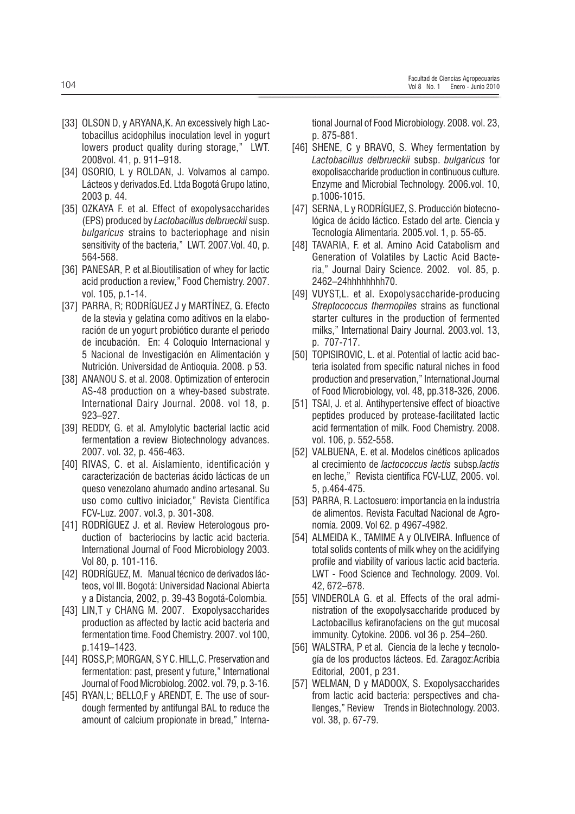- [33] OLSON D, y ARYANA, K. An excessively high Lactobacillus acidophilus inoculation level in yogurt lowers product quality during storage," LWT. 2008vol. 41, p. 911-918.
- [34] OSORIO, L y ROLDAN, J. Volvamos al campo. Lácteos y derivados. Ed. Ltda Bogotá Grupo latino, 2003 p. 44.
- [35] OZKAYA F. et al. Effect of exopolysaccharides (EPS) produced by Lactobacillus delbrueckii susp. *bulgaricus* strains to bacteriophage and nisin sensitivity of the bacteria," LWT. 2007. Vol. 40, p. 564-568.
- [36] PANESAR, P. et al. Bioutilisation of whey for lactic acid production a review," Food Chemistry. 2007. vol. 105, p.1-14.
- [37] PARRA, R; RODRIGUEZ J y MARTINEZ, G. Efecto de la stevia y gelatina como aditivos en la elaboración de un yogurt probiótico durante el periodo de incubación. En: 4 Coloquio Internacional y 5 Nacional de Investigación en Alimentación y Nutrición. Universidad de Antioquia. 2008. p 53.
- [38] ANANOU S. et al. 2008. Optimization of enterocin AS-48 production on a whey-based substrate. International Dairy Journal. 2008. vol 18, p.  $923 - 927$ .
- [39] REDDY, G. et al. Amylolytic bacterial lactic acid fermentation a review Biotechnology advances. 2007. vol. 32, p. 456-463.
- [40] RIVAS, C. et al. Aislamiento, identificación y caracterización de bacterias ácido lácticas de un queso venezolano ahumado andino artesanal. Su uso como cultivo iniciador," Revista Científica FCV-Luz. 2007. vol.3, p. 301-308.
- [41] RODRIGUEZ J. et al. Review Heterologous production of bacteriocins by lactic acid bacteria. International Journal of Food Microbiology 2003. Vol 80, p. 101-116.
- [42] RODRÍGUEZ, M. Manual técnico de derivados lácteos, vol III. Bogotá: Universidad Nacional Abierta y a Distancia, 2002, p. 39-43 Bogotá-Colombia.
- [43] LIN.T v CHANG M. 2007. Exopolysaccharides production as affected by lactic acid bacteria and fermentation time. Food Chemistry. 2007. vol 100. p.1419-1423.
- [44] ROSS, P; MORGAN, SYC. HILL, C. Preservation and fermentation: past, present y future," International Journal of Food Microbiolog. 2002. vol. 79, p. 3-16.
- [45] RYAN, L; BELLO, F y ARENDT, E. The use of sourdough fermented by antifungal BAL to reduce the amount of calcium propionate in bread," Interna-

tional Journal of Food Microbiology. 2008. vol. 23, p. 875-881.

- [46] SHENE, C y BRAVO, S. Whey fermentation by Lactobacillus delbrueckii subsp. bulgaricus for exopolisaccharide production in continuous culture. Enzyme and Microbial Technology. 2006.vol. 10, p.1006-1015.
- [47] SERNA, L y RODRÍGUEZ, S. Producción biotecnológica de ácido láctico. Estado del arte. Ciencia y Tecnología Alimentaria. 2005. vol. 1, p. 55-65.
- [48] TAVARIA, F. et al. Amino Acid Catabolism and Generation of Volatiles by Lactic Acid Bacteria," Journal Dairy Science. 2002. vol. 85, p. 2462-24hhhhhhhh70.
- [49] VUYST, L. et al. Exopolysaccharide-producing Streptococcus thermopiles strains as functional starter cultures in the production of fermented milks," International Dairy Journal. 2003.vol. 13, p. 707-717.
- [50] TOPISIROVIC, L. et al. Potential of lactic acid bacteria isolated from specific natural niches in food production and preservation," International Journal of Food Microbiology, vol. 48, pp.318-326, 2006.
- [51] TSAI, J. et al. Antihypertensive effect of bioactive peptides produced by protease-facilitated lactic acid fermentation of milk. Food Chemistry. 2008. vol. 106. p. 552-558.
- [52] VALBUENA, E. et al. Modelos cinéticos aplicados al crecimiento de lactococcus lactis subsp.lactis en leche," Revista científica FCV-LUZ, 2005. vol. 5. p.464-475.
- [53] PARRA, R. Lactosuero: importancia en la industria de alimentos. Revista Facultad Nacional de Agronomía. 2009. Vol 62. p 4967-4982.
- [54] ALMEIDA K., TAMIME A y OLIVEIRA. Influence of total solids contents of milk whey on the acidifying profile and viability of various lactic acid bacteria. LWT - Food Science and Technology. 2009. Vol. 42.672-678.
- [55] VINDEROLA G. et al. Effects of the oral administration of the exopolysaccharide produced by Lactobacillus kefiranofaciens on the gut mucosal immunity. Cytokine. 2006. vol 36 p. 254-260.
- [56] WALSTRA, P et al. Ciencia de la leche y tecnología de los productos lácteos. Ed. Zaragoz: Acribia Editorial, 2001, p 231.
- [57] WELMAN, D y MADOOX, S. Exopolysaccharides from lactic acid bacteria: perspectives and cha-Ilenges," Review Trends in Biotechnology. 2003. vol. 38, p. 67-79.